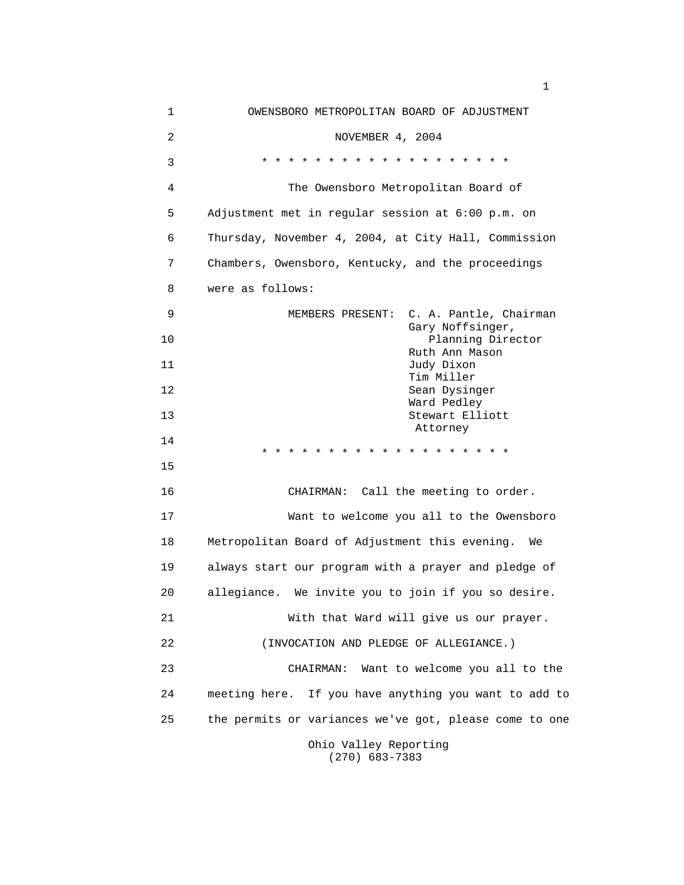| $\mathbf{1}$   | OWENSBORO METROPOLITAN BOARD OF ADJUSTMENT             |
|----------------|--------------------------------------------------------|
| $\overline{a}$ | NOVEMBER 4, 2004                                       |
| 3              | * * * * * * * * * * * * * * * * * * *                  |
| 4              | The Owensboro Metropolitan Board of                    |
| 5              | Adjustment met in regular session at 6:00 p.m. on      |
| 6              | Thursday, November 4, 2004, at City Hall, Commission   |
| 7              | Chambers, Owensboro, Kentucky, and the proceedings     |
| 8              | were as follows:                                       |
| 9              | MEMBERS PRESENT:<br>C. A. Pantle, Chairman             |
| 10             | Gary Noffsinger,<br>Planning Director                  |
| 11             | Ruth Ann Mason<br>Judy Dixon                           |
| 12             | Tim Miller<br>Sean Dysinger                            |
| 13             | Ward Pedley<br>Stewart Elliott                         |
| 14             | Attorney<br>* * * * * * * * * * *                      |
| 15             |                                                        |
| 16             | CHAIRMAN: Call the meeting to order.                   |
| 17             | Want to welcome you all to the Owensboro               |
| 18             | Metropolitan Board of Adjustment this evening.<br>We   |
| 19             | always start our program with a prayer and pledge of   |
| 20             | allegiance. We invite you to join if you so desire.    |
| 21             | With that Ward will give us our prayer.                |
| 22             | (INVOCATION AND PLEDGE OF ALLEGIANCE.)                 |
| 23             | Want to welcome you all to the<br>CHAIRMAN:            |
| 24             | meeting here. If you have anything you want to add to  |
| 25             | the permits or variances we've got, please come to one |
|                | Ohio Valley Reporting<br>$(270)$ 683-7383              |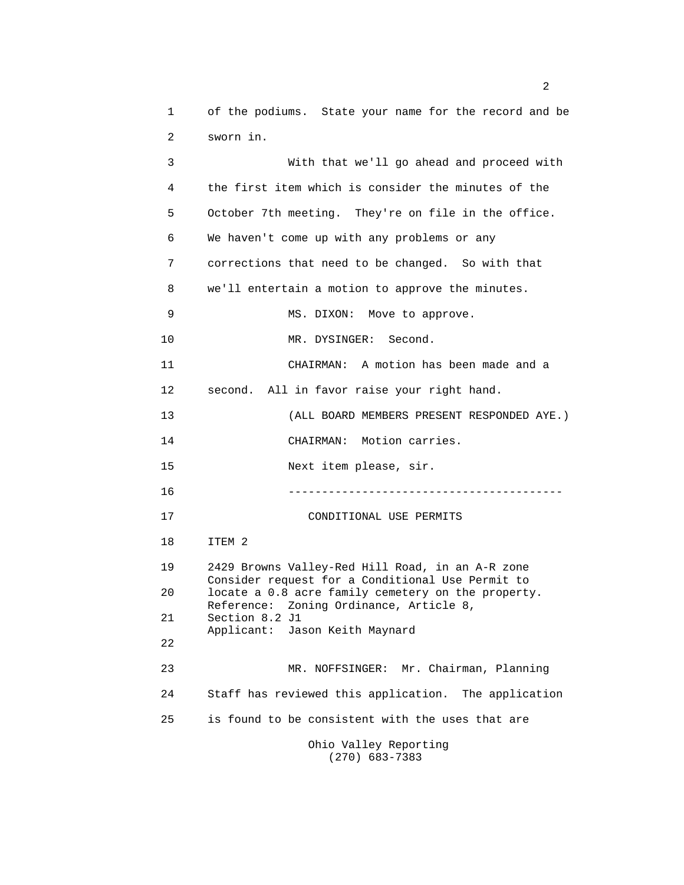1 of the podiums. State your name for the record and be 2 sworn in. 3 With that we'll go ahead and proceed with 4 the first item which is consider the minutes of the 5 October 7th meeting. They're on file in the office. 6 We haven't come up with any problems or any 7 corrections that need to be changed. So with that 8 we'll entertain a motion to approve the minutes. 9 MS. DIXON: Move to approve. 10 MR. DYSINGER: Second. 11 CHAIRMAN: A motion has been made and a 12 second. All in favor raise your right hand. 13 (ALL BOARD MEMBERS PRESENT RESPONDED AYE.) 14 CHAIRMAN: Motion carries. 15 Next item please, sir. 16 ----------------------------------------- 17 CONDITIONAL USE PERMITS 18 ITEM 2 19 2429 Browns Valley-Red Hill Road, in an A-R zone Consider request for a Conditional Use Permit to 20 locate a 0.8 acre family cemetery on the property. Reference: Zoning Ordinance, Article 8, 21 Section 8.2 J1 Applicant: Jason Keith Maynard 22 23 MR. NOFFSINGER: Mr. Chairman, Planning 24 Staff has reviewed this application. The application 25 is found to be consistent with the uses that are Ohio Valley Reporting (270) 683-7383

 $\sim$  2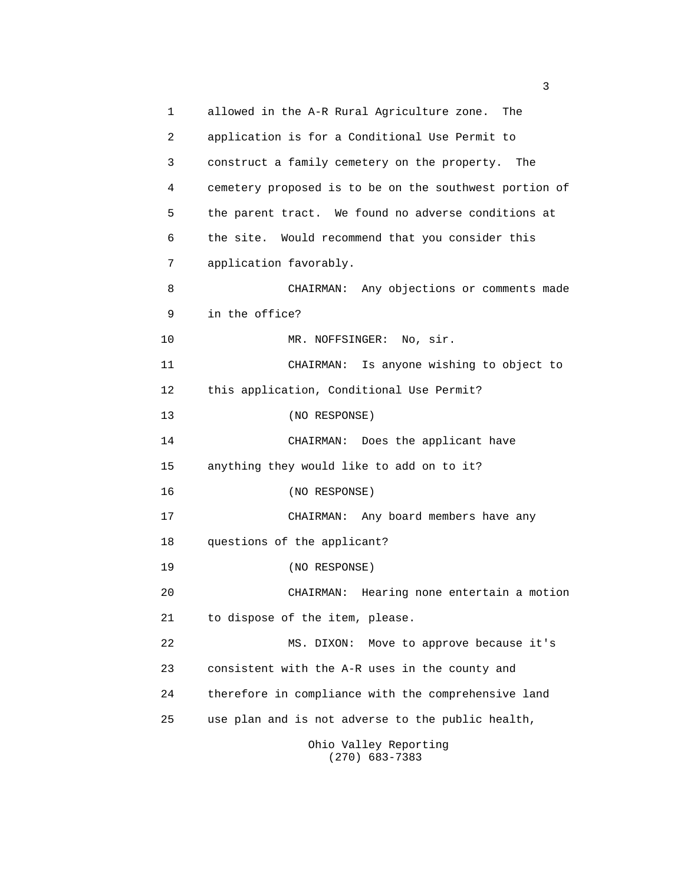1 allowed in the A-R Rural Agriculture zone. The 2 application is for a Conditional Use Permit to 3 construct a family cemetery on the property. The 4 cemetery proposed is to be on the southwest portion of 5 the parent tract. We found no adverse conditions at 6 the site. Would recommend that you consider this 7 application favorably. 8 CHAIRMAN: Any objections or comments made 9 in the office? 10 MR. NOFFSINGER: No, sir. 11 CHAIRMAN: Is anyone wishing to object to 12 this application, Conditional Use Permit? 13 (NO RESPONSE) 14 CHAIRMAN: Does the applicant have 15 anything they would like to add on to it? 16 (NO RESPONSE) 17 CHAIRMAN: Any board members have any 18 questions of the applicant? 19 (NO RESPONSE) 20 CHAIRMAN: Hearing none entertain a motion 21 to dispose of the item, please. 22 MS. DIXON: Move to approve because it's 23 consistent with the A-R uses in the county and 24 therefore in compliance with the comprehensive land 25 use plan and is not adverse to the public health, Ohio Valley Reporting (270) 683-7383

 $\sim$  3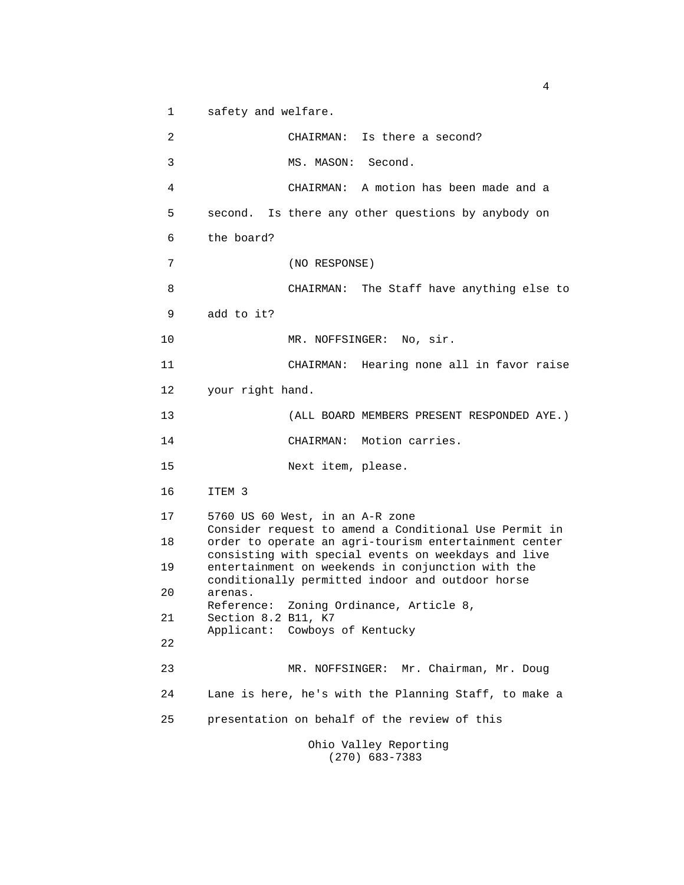1 safety and welfare. 2 CHAIRMAN: Is there a second? 3 MS. MASON: Second. 4 CHAIRMAN: A motion has been made and a 5 second. Is there any other questions by anybody on 6 the board? 7 (NO RESPONSE) 8 CHAIRMAN: The Staff have anything else to 9 add to it? 10 MR. NOFFSINGER: No, sir. 11 CHAIRMAN: Hearing none all in favor raise 12 your right hand. 13 (ALL BOARD MEMBERS PRESENT RESPONDED AYE.) 14 CHAIRMAN: Motion carries. 15 Next item, please. 16 ITEM 3 17 5760 US 60 West, in an A-R zone Consider request to amend a Conditional Use Permit in 18 order to operate an agri-tourism entertainment center consisting with special events on weekdays and live 19 entertainment on weekends in conjunction with the conditionally permitted indoor and outdoor horse 20 arenas. Reference: Zoning Ordinance, Article 8, 21 Section 8.2 B11, K7 Applicant: Cowboys of Kentucky 22 23 MR. NOFFSINGER: Mr. Chairman, Mr. Doug 24 Lane is here, he's with the Planning Staff, to make a 25 presentation on behalf of the review of this Ohio Valley Reporting (270) 683-7383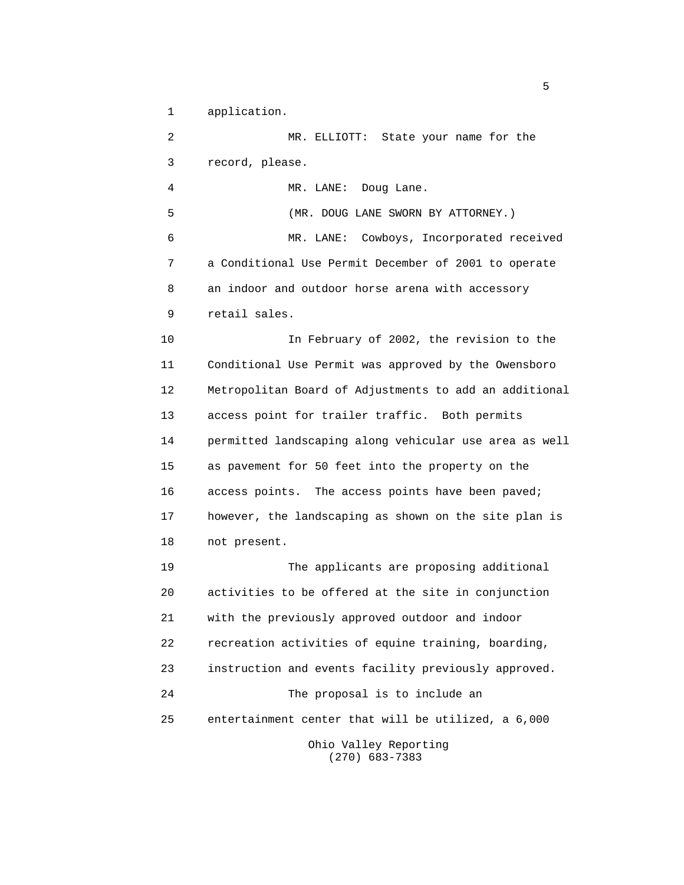1 application. 2 MR. ELLIOTT: State your name for the 3 record, please. 4 MR. LANE: Doug Lane. 5 (MR. DOUG LANE SWORN BY ATTORNEY.) 6 MR. LANE: Cowboys, Incorporated received 7 a Conditional Use Permit December of 2001 to operate 8 an indoor and outdoor horse arena with accessory 9 retail sales. 10 In February of 2002, the revision to the 11 Conditional Use Permit was approved by the Owensboro 12 Metropolitan Board of Adjustments to add an additional 13 access point for trailer traffic. Both permits 14 permitted landscaping along vehicular use area as well 15 as pavement for 50 feet into the property on the 16 access points. The access points have been paved; 17 however, the landscaping as shown on the site plan is 18 not present. 19 The applicants are proposing additional 20 activities to be offered at the site in conjunction 21 with the previously approved outdoor and indoor 22 recreation activities of equine training, boarding, 23 instruction and events facility previously approved. 24 The proposal is to include an 25 entertainment center that will be utilized, a 6,000 Ohio Valley Reporting

(270) 683-7383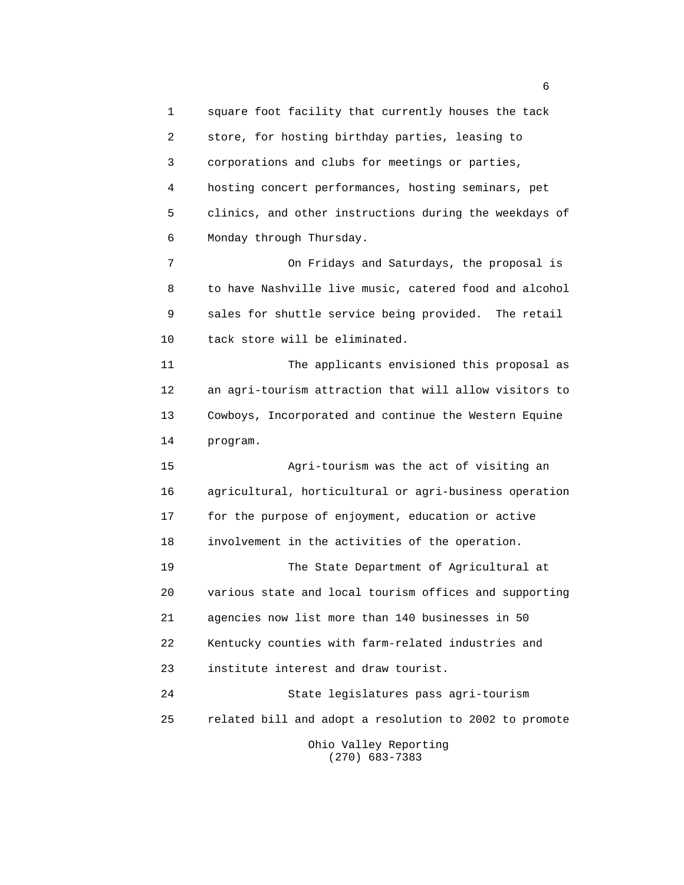1 square foot facility that currently houses the tack 2 store, for hosting birthday parties, leasing to 3 corporations and clubs for meetings or parties, 4 hosting concert performances, hosting seminars, pet 5 clinics, and other instructions during the weekdays of 6 Monday through Thursday. 7 On Fridays and Saturdays, the proposal is 8 to have Nashville live music, catered food and alcohol 9 sales for shuttle service being provided. The retail 10 tack store will be eliminated. 11 The applicants envisioned this proposal as 12 an agri-tourism attraction that will allow visitors to 13 Cowboys, Incorporated and continue the Western Equine 14 program. 15 Agri-tourism was the act of visiting an 16 agricultural, horticultural or agri-business operation 17 for the purpose of enjoyment, education or active 18 involvement in the activities of the operation. 19 The State Department of Agricultural at 20 various state and local tourism offices and supporting 21 agencies now list more than 140 businesses in 50 22 Kentucky counties with farm-related industries and 23 institute interest and draw tourist. 24 State legislatures pass agri-tourism 25 related bill and adopt a resolution to 2002 to promote Ohio Valley Reporting (270) 683-7383

 $\sim$  6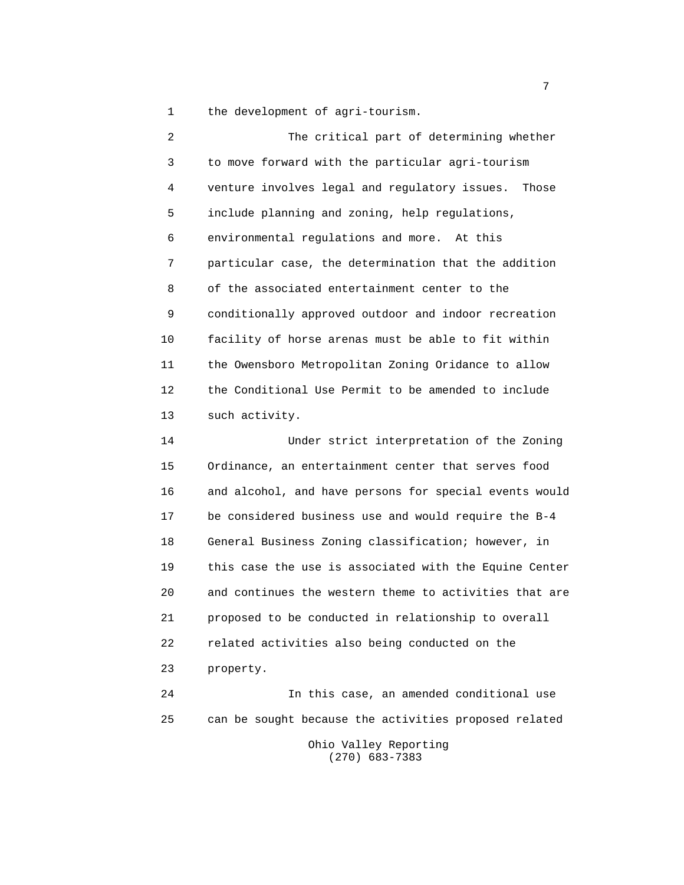1 the development of agri-tourism.

 2 The critical part of determining whether 3 to move forward with the particular agri-tourism 4 venture involves legal and regulatory issues. Those 5 include planning and zoning, help regulations, 6 environmental regulations and more. At this 7 particular case, the determination that the addition 8 of the associated entertainment center to the 9 conditionally approved outdoor and indoor recreation 10 facility of horse arenas must be able to fit within 11 the Owensboro Metropolitan Zoning Oridance to allow 12 the Conditional Use Permit to be amended to include 13 such activity. 14 Under strict interpretation of the Zoning

 15 Ordinance, an entertainment center that serves food 16 and alcohol, and have persons for special events would 17 be considered business use and would require the B-4 18 General Business Zoning classification; however, in 19 this case the use is associated with the Equine Center 20 and continues the western theme to activities that are 21 proposed to be conducted in relationship to overall 22 related activities also being conducted on the 23 property.

 24 In this case, an amended conditional use 25 can be sought because the activities proposed related Ohio Valley Reporting

(270) 683-7383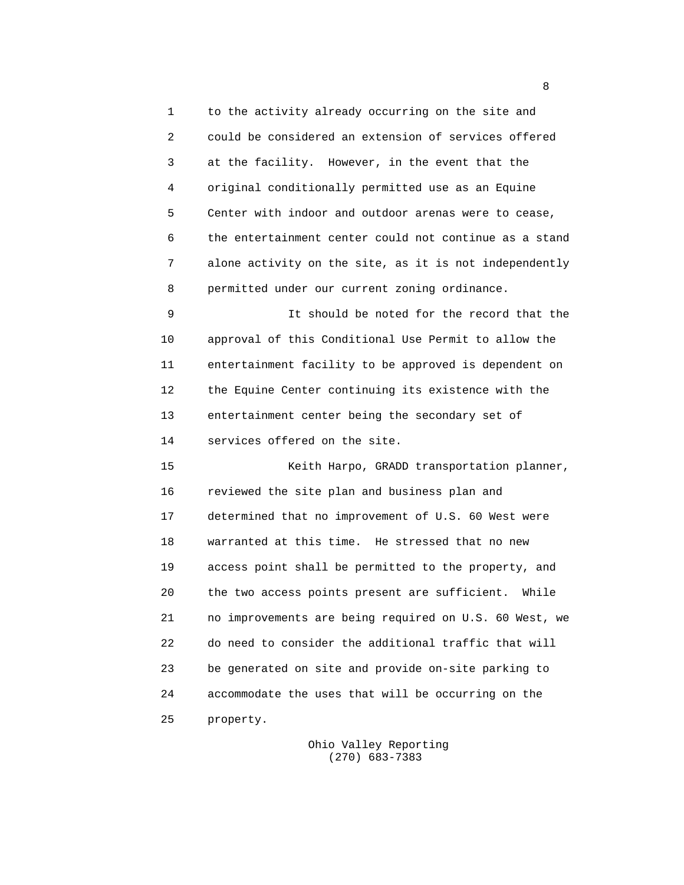1 to the activity already occurring on the site and 2 could be considered an extension of services offered 3 at the facility. However, in the event that the 4 original conditionally permitted use as an Equine 5 Center with indoor and outdoor arenas were to cease, 6 the entertainment center could not continue as a stand 7 alone activity on the site, as it is not independently 8 permitted under our current zoning ordinance.

 9 It should be noted for the record that the 10 approval of this Conditional Use Permit to allow the 11 entertainment facility to be approved is dependent on 12 the Equine Center continuing its existence with the 13 entertainment center being the secondary set of 14 services offered on the site.

 15 Keith Harpo, GRADD transportation planner, 16 reviewed the site plan and business plan and 17 determined that no improvement of U.S. 60 West were 18 warranted at this time. He stressed that no new 19 access point shall be permitted to the property, and 20 the two access points present are sufficient. While 21 no improvements are being required on U.S. 60 West, we 22 do need to consider the additional traffic that will 23 be generated on site and provide on-site parking to 24 accommodate the uses that will be occurring on the 25 property.

> Ohio Valley Reporting (270) 683-7383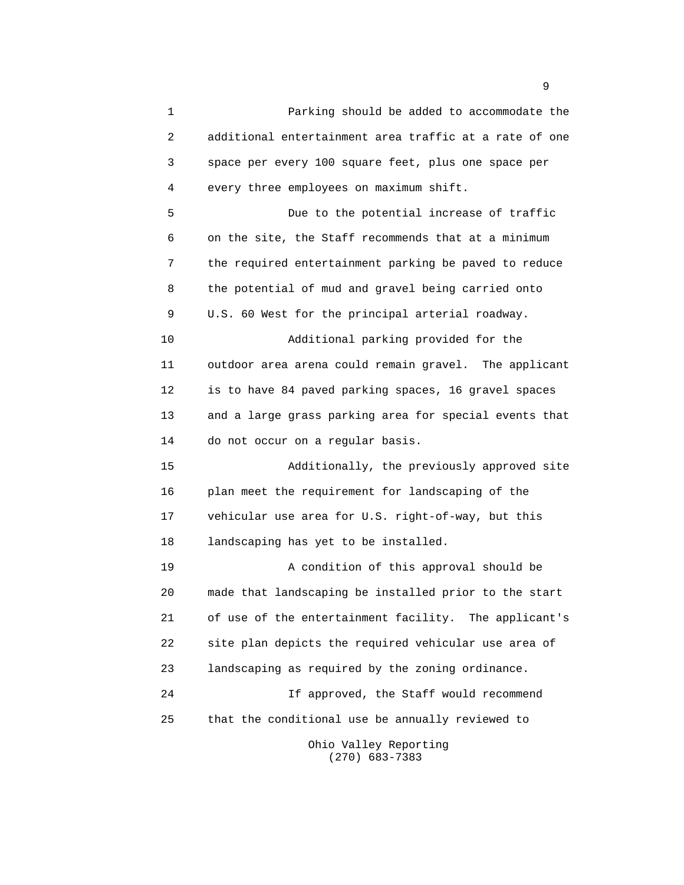1 Parking should be added to accommodate the 2 additional entertainment area traffic at a rate of one 3 space per every 100 square feet, plus one space per 4 every three employees on maximum shift. 5 Due to the potential increase of traffic 6 on the site, the Staff recommends that at a minimum 7 the required entertainment parking be paved to reduce 8 the potential of mud and gravel being carried onto 9 U.S. 60 West for the principal arterial roadway. 10 Additional parking provided for the 11 outdoor area arena could remain gravel. The applicant 12 is to have 84 paved parking spaces, 16 gravel spaces 13 and a large grass parking area for special events that 14 do not occur on a regular basis. 15 Additionally, the previously approved site 16 plan meet the requirement for landscaping of the 17 vehicular use area for U.S. right-of-way, but this 18 landscaping has yet to be installed. 19 A condition of this approval should be 20 made that landscaping be installed prior to the start 21 of use of the entertainment facility. The applicant's 22 site plan depicts the required vehicular use area of 23 landscaping as required by the zoning ordinance. 24 If approved, the Staff would recommend 25 that the conditional use be annually reviewed to Ohio Valley Reporting (270) 683-7383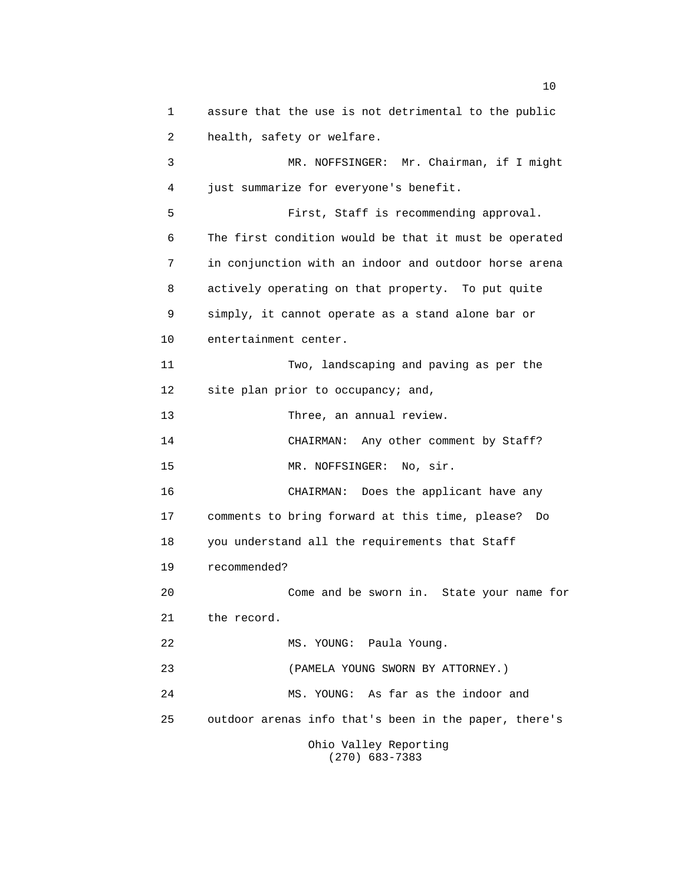1 assure that the use is not detrimental to the public 2 health, safety or welfare. 3 MR. NOFFSINGER: Mr. Chairman, if I might 4 just summarize for everyone's benefit. 5 First, Staff is recommending approval. 6 The first condition would be that it must be operated 7 in conjunction with an indoor and outdoor horse arena 8 actively operating on that property. To put quite 9 simply, it cannot operate as a stand alone bar or 10 entertainment center. 11 Two, landscaping and paving as per the 12 site plan prior to occupancy; and, 13 Three, an annual review. 14 CHAIRMAN: Any other comment by Staff? 15 MR. NOFFSINGER: No, sir. 16 CHAIRMAN: Does the applicant have any 17 comments to bring forward at this time, please? Do 18 you understand all the requirements that Staff 19 recommended? 20 Come and be sworn in. State your name for 21 the record. 22 MS. YOUNG: Paula Young. 23 (PAMELA YOUNG SWORN BY ATTORNEY.) 24 MS. YOUNG: As far as the indoor and 25 outdoor arenas info that's been in the paper, there's Ohio Valley Reporting (270) 683-7383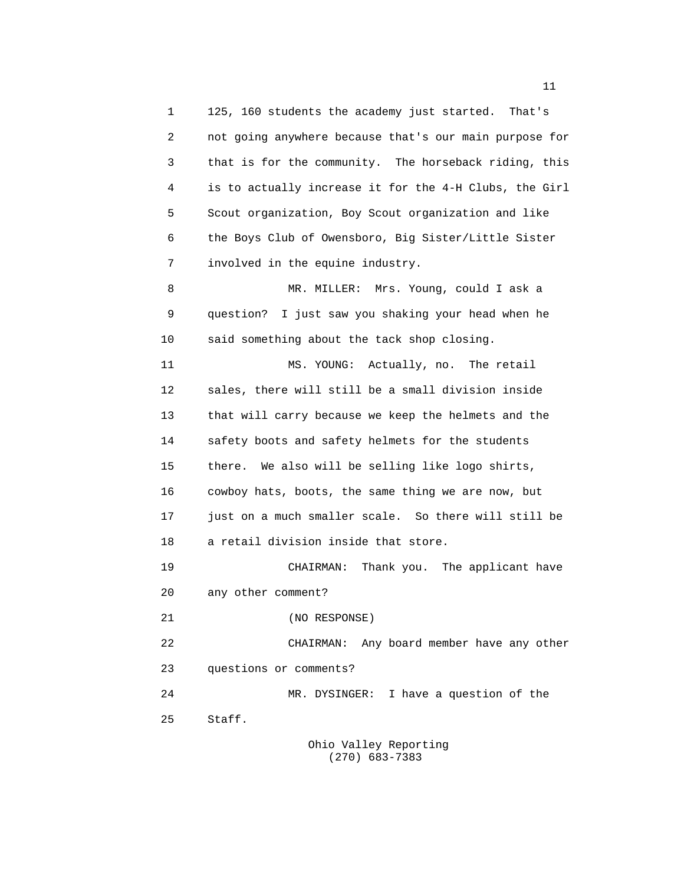1 125, 160 students the academy just started. That's 2 not going anywhere because that's our main purpose for 3 that is for the community. The horseback riding, this 4 is to actually increase it for the 4-H Clubs, the Girl 5 Scout organization, Boy Scout organization and like 6 the Boys Club of Owensboro, Big Sister/Little Sister 7 involved in the equine industry. 8 MR. MILLER: Mrs. Young, could I ask a 9 question? I just saw you shaking your head when he 10 said something about the tack shop closing. 11 MS. YOUNG: Actually, no. The retail 12 sales, there will still be a small division inside 13 that will carry because we keep the helmets and the 14 safety boots and safety helmets for the students 15 there. We also will be selling like logo shirts, 16 cowboy hats, boots, the same thing we are now, but 17 just on a much smaller scale. So there will still be 18 a retail division inside that store. 19 CHAIRMAN: Thank you. The applicant have 20 any other comment? 21 (NO RESPONSE) 22 CHAIRMAN: Any board member have any other 23 questions or comments? 24 MR. DYSINGER: I have a question of the 25 Staff.

 Ohio Valley Reporting (270) 683-7383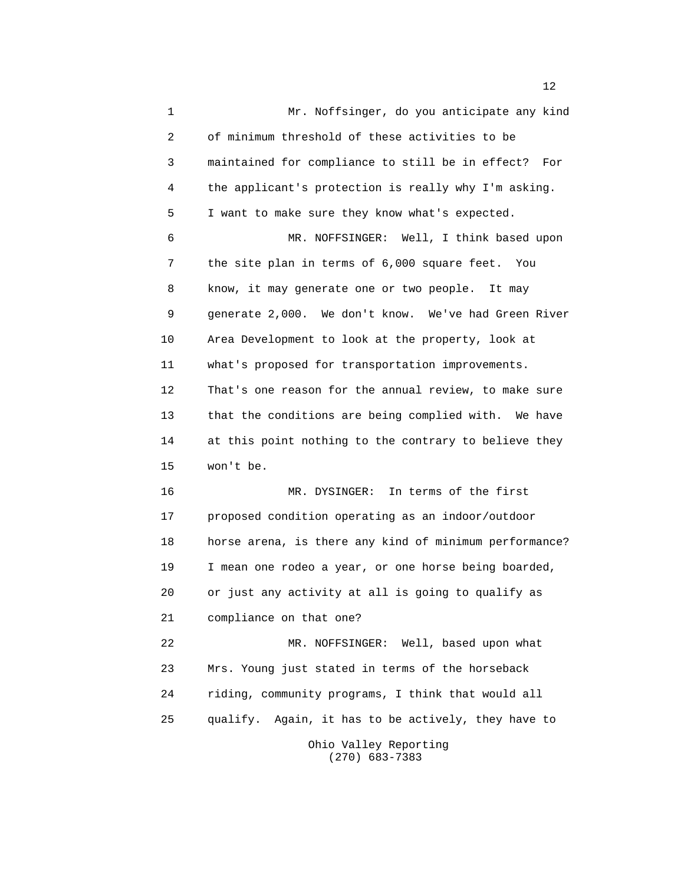1 Mr. Noffsinger, do you anticipate any kind 2 of minimum threshold of these activities to be 3 maintained for compliance to still be in effect? For 4 the applicant's protection is really why I'm asking. 5 I want to make sure they know what's expected. 6 MR. NOFFSINGER: Well, I think based upon 7 the site plan in terms of 6,000 square feet. You 8 know, it may generate one or two people. It may 9 generate 2,000. We don't know. We've had Green River 10 Area Development to look at the property, look at 11 what's proposed for transportation improvements. 12 That's one reason for the annual review, to make sure 13 that the conditions are being complied with. We have 14 at this point nothing to the contrary to believe they 15 won't be. 16 MR. DYSINGER: In terms of the first 17 proposed condition operating as an indoor/outdoor 18 horse arena, is there any kind of minimum performance? 19 I mean one rodeo a year, or one horse being boarded, 20 or just any activity at all is going to qualify as 21 compliance on that one? 22 MR. NOFFSINGER: Well, based upon what 23 Mrs. Young just stated in terms of the horseback 24 riding, community programs, I think that would all 25 qualify. Again, it has to be actively, they have to

 Ohio Valley Reporting (270) 683-7383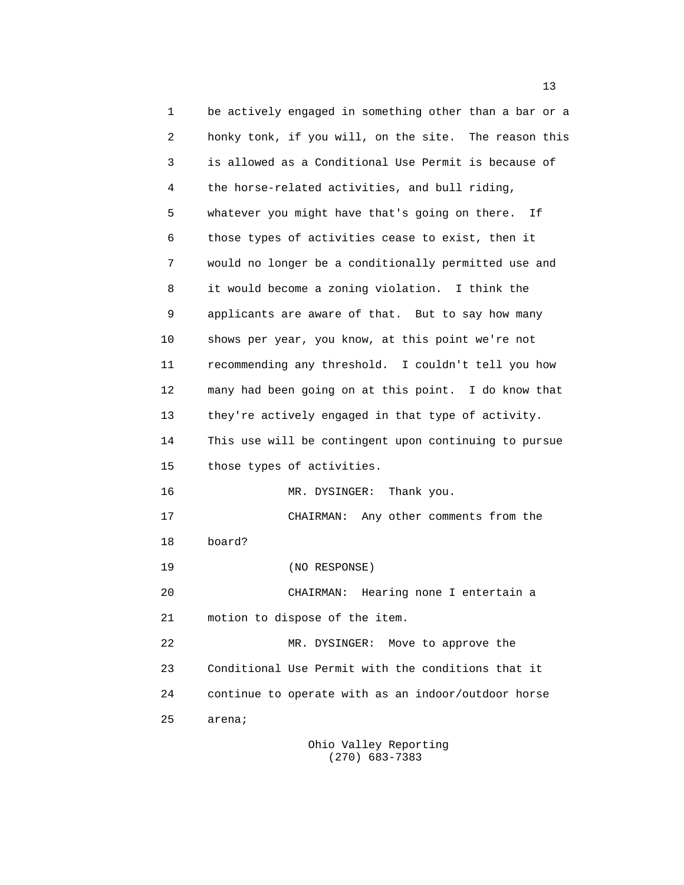1 be actively engaged in something other than a bar or a 2 honky tonk, if you will, on the site. The reason this 3 is allowed as a Conditional Use Permit is because of 4 the horse-related activities, and bull riding, 5 whatever you might have that's going on there. If 6 those types of activities cease to exist, then it 7 would no longer be a conditionally permitted use and 8 it would become a zoning violation. I think the 9 applicants are aware of that. But to say how many 10 shows per year, you know, at this point we're not 11 recommending any threshold. I couldn't tell you how 12 many had been going on at this point. I do know that 13 they're actively engaged in that type of activity. 14 This use will be contingent upon continuing to pursue 15 those types of activities. 16 MR. DYSINGER: Thank you. 17 CHAIRMAN: Any other comments from the 18 board? 19 (NO RESPONSE) 20 CHAIRMAN: Hearing none I entertain a 21 motion to dispose of the item. 22 MR. DYSINGER: Move to approve the 23 Conditional Use Permit with the conditions that it 24 continue to operate with as an indoor/outdoor horse 25 arena;

> Ohio Valley Reporting (270) 683-7383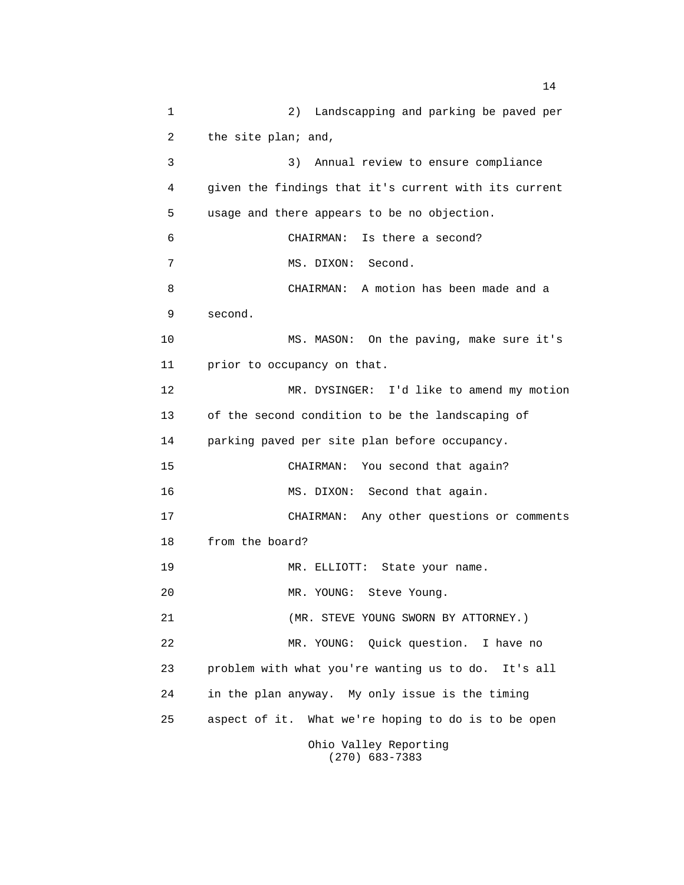1 2) Landscapping and parking be paved per 2 the site plan; and, 3 3) Annual review to ensure compliance 4 given the findings that it's current with its current 5 usage and there appears to be no objection. 6 CHAIRMAN: Is there a second? 7 MS. DIXON: Second. 8 CHAIRMAN: A motion has been made and a 9 second. 10 MS. MASON: On the paving, make sure it's 11 prior to occupancy on that. 12 MR. DYSINGER: I'd like to amend my motion 13 of the second condition to be the landscaping of 14 parking paved per site plan before occupancy. 15 CHAIRMAN: You second that again? 16 MS. DIXON: Second that again. 17 CHAIRMAN: Any other questions or comments 18 from the board? 19 MR. ELLIOTT: State your name. 20 MR. YOUNG: Steve Young. 21 (MR. STEVE YOUNG SWORN BY ATTORNEY.) 22 MR. YOUNG: Quick question. I have no 23 problem with what you're wanting us to do. It's all 24 in the plan anyway. My only issue is the timing 25 aspect of it. What we're hoping to do is to be open Ohio Valley Reporting (270) 683-7383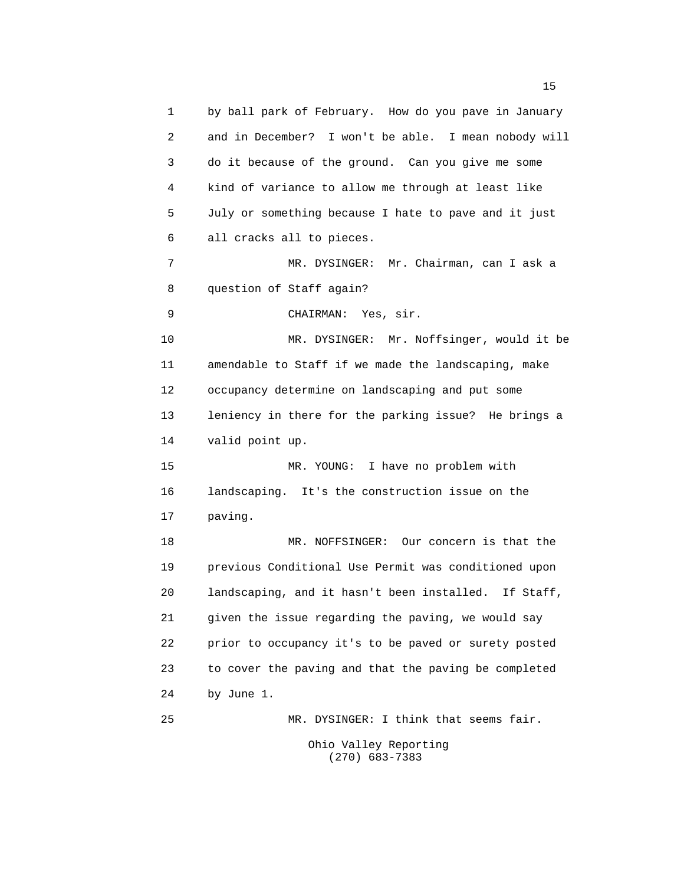1 by ball park of February. How do you pave in January 2 and in December? I won't be able. I mean nobody will 3 do it because of the ground. Can you give me some 4 kind of variance to allow me through at least like 5 July or something because I hate to pave and it just 6 all cracks all to pieces. 7 MR. DYSINGER: Mr. Chairman, can I ask a 8 question of Staff again? 9 CHAIRMAN: Yes, sir. 10 MR. DYSINGER: Mr. Noffsinger, would it be 11 amendable to Staff if we made the landscaping, make 12 occupancy determine on landscaping and put some 13 leniency in there for the parking issue? He brings a 14 valid point up. 15 MR. YOUNG: I have no problem with 16 landscaping. It's the construction issue on the 17 paving. 18 MR. NOFFSINGER: Our concern is that the 19 previous Conditional Use Permit was conditioned upon 20 landscaping, and it hasn't been installed. If Staff, 21 given the issue regarding the paving, we would say 22 prior to occupancy it's to be paved or surety posted 23 to cover the paving and that the paving be completed 24 by June 1. 25 MR. DYSINGER: I think that seems fair. Ohio Valley Reporting

(270) 683-7383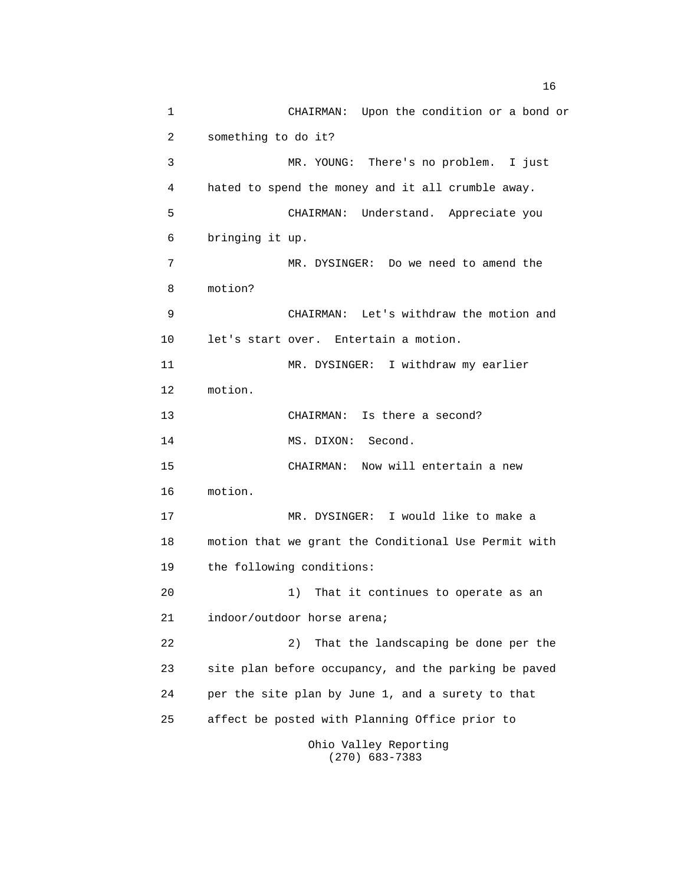1 CHAIRMAN: Upon the condition or a bond or 2 something to do it? 3 MR. YOUNG: There's no problem. I just 4 hated to spend the money and it all crumble away. 5 CHAIRMAN: Understand. Appreciate you 6 bringing it up. 7 MR. DYSINGER: Do we need to amend the 8 motion? 9 CHAIRMAN: Let's withdraw the motion and 10 let's start over. Entertain a motion. 11 MR. DYSINGER: I withdraw my earlier 12 motion. 13 CHAIRMAN: Is there a second? 14 MS. DIXON: Second. 15 CHAIRMAN: Now will entertain a new 16 motion. 17 MR. DYSINGER: I would like to make a 18 motion that we grant the Conditional Use Permit with 19 the following conditions: 20 1) That it continues to operate as an 21 indoor/outdoor horse arena; 22 2) That the landscaping be done per the 23 site plan before occupancy, and the parking be paved 24 per the site plan by June 1, and a surety to that 25 affect be posted with Planning Office prior to Ohio Valley Reporting (270) 683-7383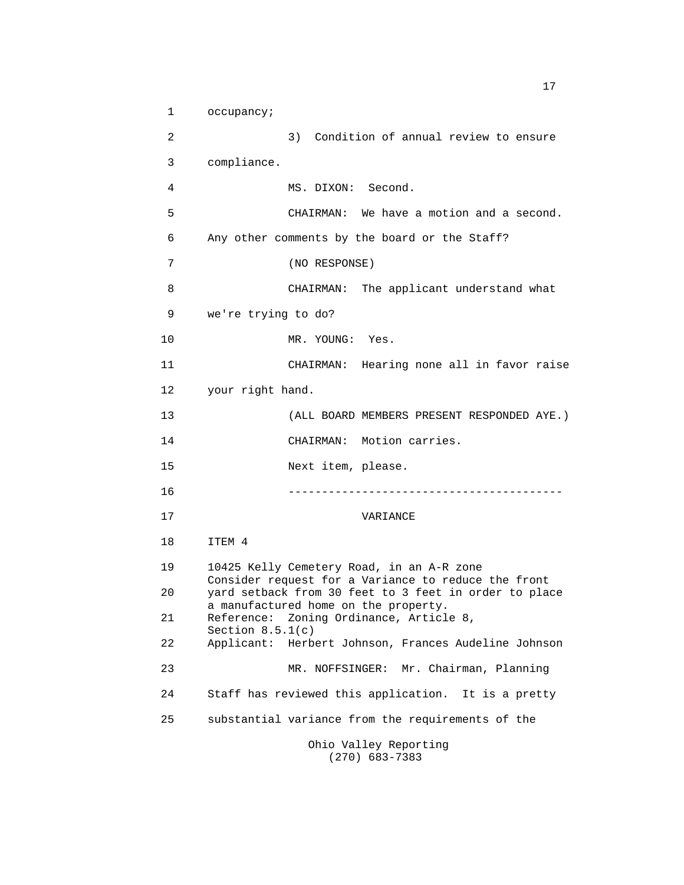1 occupancy; 2 3) Condition of annual review to ensure 3 compliance. 4 MS. DIXON: Second. 5 CHAIRMAN: We have a motion and a second. 6 Any other comments by the board or the Staff? 7 (NO RESPONSE) 8 CHAIRMAN: The applicant understand what 9 we're trying to do? 10 MR. YOUNG: Yes. 11 CHAIRMAN: Hearing none all in favor raise 12 your right hand. 13 (ALL BOARD MEMBERS PRESENT RESPONDED AYE.) 14 CHAIRMAN: Motion carries. 15 Next item, please. 16 ----------------------------------------- 17 VARIANCE 18 ITEM 4 19 10425 Kelly Cemetery Road, in an A-R zone Consider request for a Variance to reduce the front 20 yard setback from 30 feet to 3 feet in order to place a manufactured home on the property. 21 Reference: Zoning Ordinance, Article 8, Section 8.5.1(c) 22 Applicant: Herbert Johnson, Frances Audeline Johnson 23 MR. NOFFSINGER: Mr. Chairman, Planning 24 Staff has reviewed this application. It is a pretty 25 substantial variance from the requirements of the Ohio Valley Reporting (270) 683-7383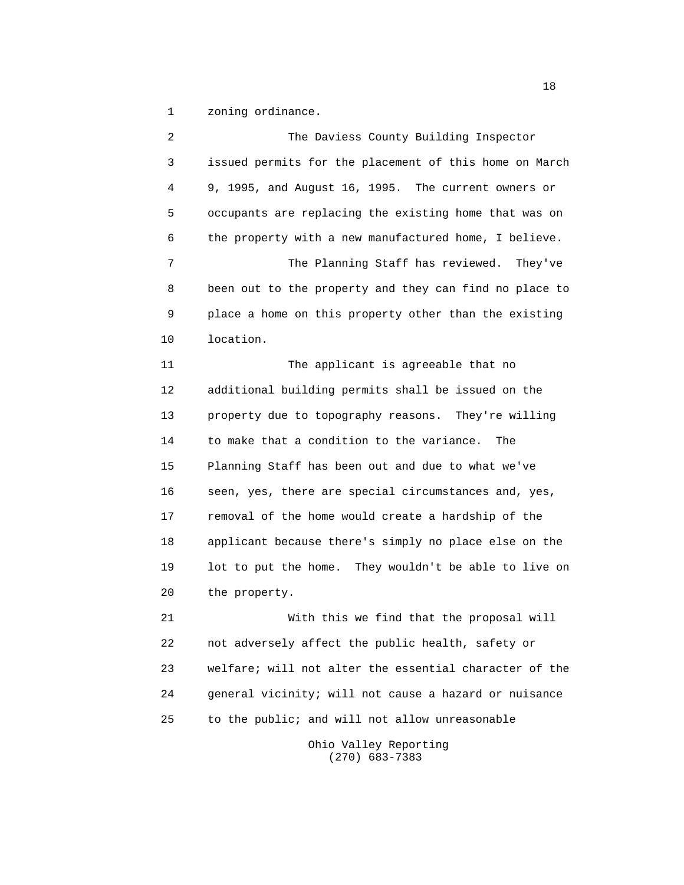1 zoning ordinance.

 2 The Daviess County Building Inspector 3 issued permits for the placement of this home on March 4 9, 1995, and August 16, 1995. The current owners or 5 occupants are replacing the existing home that was on 6 the property with a new manufactured home, I believe. 7 The Planning Staff has reviewed. They've 8 been out to the property and they can find no place to 9 place a home on this property other than the existing 10 location. 11 The applicant is agreeable that no 12 additional building permits shall be issued on the 13 property due to topography reasons. They're willing 14 to make that a condition to the variance. The 15 Planning Staff has been out and due to what we've 16 seen, yes, there are special circumstances and, yes, 17 removal of the home would create a hardship of the 18 applicant because there's simply no place else on the 19 lot to put the home. They wouldn't be able to live on 20 the property. 21 With this we find that the proposal will

 22 not adversely affect the public health, safety or 23 welfare; will not alter the essential character of the 24 general vicinity; will not cause a hazard or nuisance 25 to the public; and will not allow unreasonable

> Ohio Valley Reporting (270) 683-7383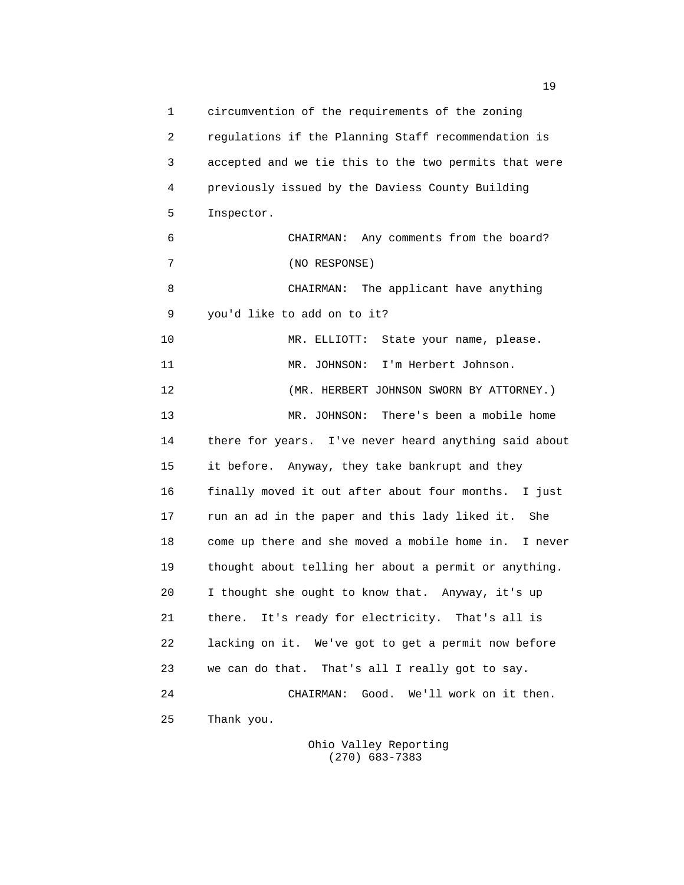1 circumvention of the requirements of the zoning 2 regulations if the Planning Staff recommendation is 3 accepted and we tie this to the two permits that were 4 previously issued by the Daviess County Building 5 Inspector. 6 CHAIRMAN: Any comments from the board? 7 (NO RESPONSE) 8 CHAIRMAN: The applicant have anything 9 you'd like to add on to it? 10 MR. ELLIOTT: State your name, please. 11 MR. JOHNSON: I'm Herbert Johnson. 12 (MR. HERBERT JOHNSON SWORN BY ATTORNEY.) 13 MR. JOHNSON: There's been a mobile home 14 there for years. I've never heard anything said about 15 it before. Anyway, they take bankrupt and they 16 finally moved it out after about four months. I just 17 run an ad in the paper and this lady liked it. She 18 come up there and she moved a mobile home in. I never 19 thought about telling her about a permit or anything. 20 I thought she ought to know that. Anyway, it's up 21 there. It's ready for electricity. That's all is 22 lacking on it. We've got to get a permit now before 23 we can do that. That's all I really got to say. 24 CHAIRMAN: Good. We'll work on it then. 25 Thank you.

> Ohio Valley Reporting (270) 683-7383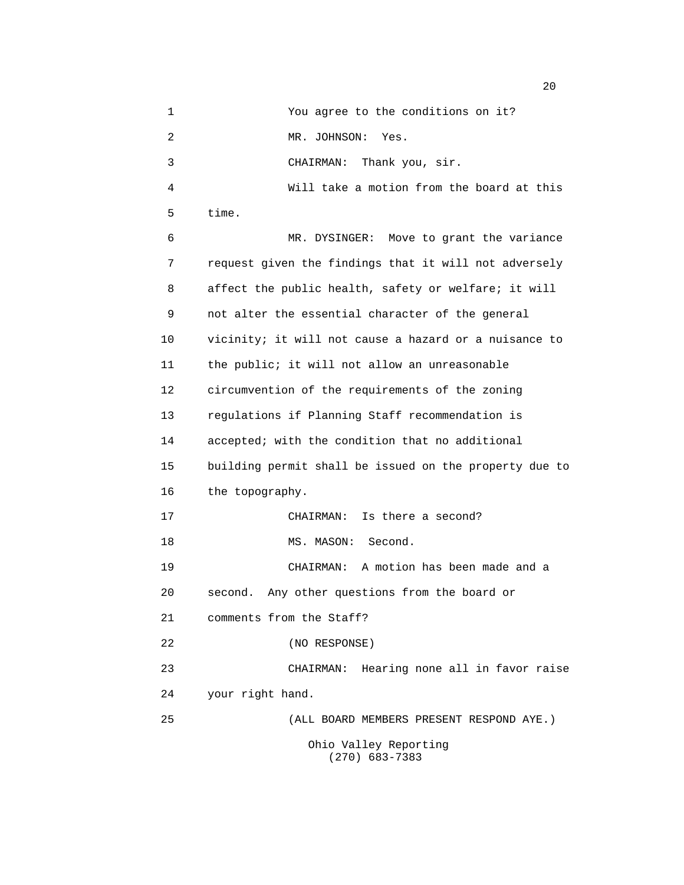| 1  | You agree to the conditions on it?                     |  |  |
|----|--------------------------------------------------------|--|--|
| 2  | MR. JOHNSON:<br>Yes.                                   |  |  |
| 3  | Thank you, sir.<br>CHAIRMAN:                           |  |  |
| 4  | Will take a motion from the board at this              |  |  |
| 5  | time.                                                  |  |  |
| 6  | MR. DYSINGER: Move to grant the variance               |  |  |
| 7  | request given the findings that it will not adversely  |  |  |
| 8  | affect the public health, safety or welfare; it will   |  |  |
| 9  | not alter the essential character of the general       |  |  |
| 10 | vicinity; it will not cause a hazard or a nuisance to  |  |  |
| 11 | the public; it will not allow an unreasonable          |  |  |
| 12 | circumvention of the requirements of the zoning        |  |  |
| 13 | regulations if Planning Staff recommendation is        |  |  |
| 14 | accepted; with the condition that no additional        |  |  |
| 15 | building permit shall be issued on the property due to |  |  |
| 16 | the topography.                                        |  |  |
| 17 | Is there a second?<br>CHAIRMAN:                        |  |  |
| 18 | Second.<br>MS. MASON:                                  |  |  |
| 19 | CHAIRMAN: A motion has been made and a                 |  |  |
| 20 | Any other questions from the board or<br>second.       |  |  |
| 21 | comments from the Staff?                               |  |  |
| 22 | (NO RESPONSE)                                          |  |  |
| 23 | Hearing none all in favor raise<br>CHAIRMAN:           |  |  |
| 24 | your right hand.                                       |  |  |
| 25 | (ALL BOARD MEMBERS PRESENT RESPOND AYE.)               |  |  |
|    | Ohio Valley Reporting<br>$(270)$ 683-7383              |  |  |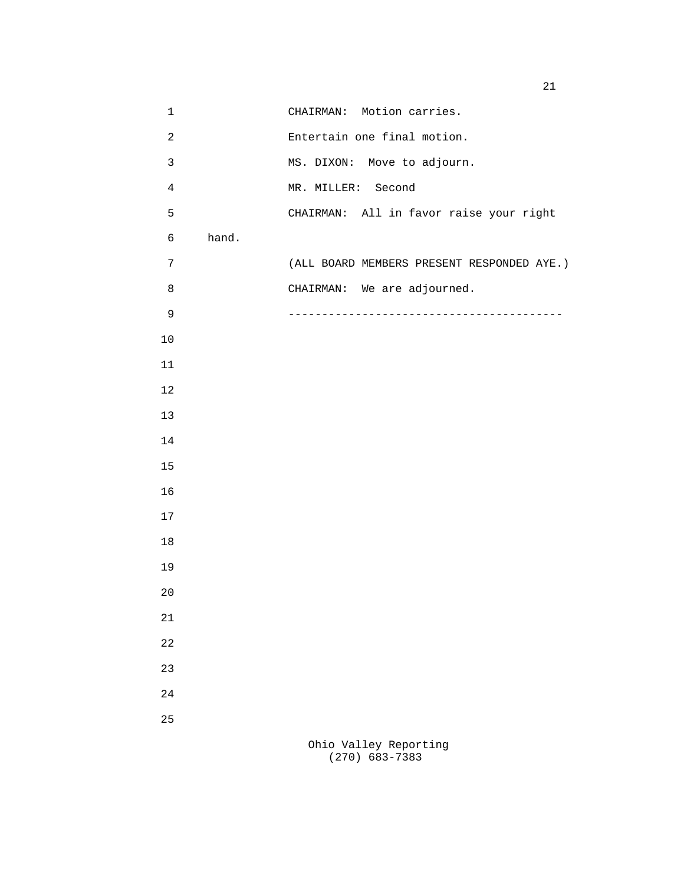| $\mathbf 1$    |       | CHAIRMAN: Motion carries.                  |
|----------------|-------|--------------------------------------------|
| $\sqrt{2}$     |       | Entertain one final motion.                |
| $\mathbf{3}$   |       | MS. DIXON: Move to adjourn.                |
| $\overline{4}$ |       | MR. MILLER: Second                         |
| 5              |       | CHAIRMAN: All in favor raise your right    |
| 6              | hand. |                                            |
| $\overline{7}$ |       | (ALL BOARD MEMBERS PRESENT RESPONDED AYE.) |
| $\,8\,$        |       | CHAIRMAN: We are adjourned.                |
| $\mathsf 9$    |       |                                            |
| $10$           |       |                                            |
| $11\,$         |       |                                            |
| $12\,$         |       |                                            |
| 13             |       |                                            |
| 14             |       |                                            |
| $15$           |       |                                            |
| 16             |       |                                            |
| 17             |       |                                            |
| $18\,$         |       |                                            |
| 19             |       |                                            |
| $20$           |       |                                            |
| 21             |       |                                            |
| 22             |       |                                            |
| 23             |       |                                            |
| 24             |       |                                            |
| 25             |       |                                            |
|                |       | Ohio Valley Reporting                      |

(270) 683-7383